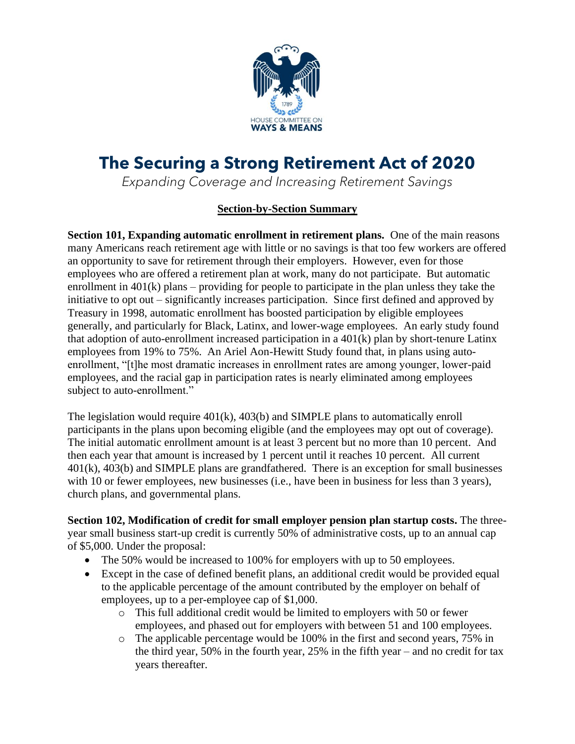

# **The Securing a Strong Retirement Act of 2020**

*Expanding Coverage and Increasing Retirement Savings*

## **Section-by-Section Summary**

**Section 101, Expanding automatic enrollment in retirement plans.** One of the main reasons many Americans reach retirement age with little or no savings is that too few workers are offered an opportunity to save for retirement through their employers. However, even for those employees who are offered a retirement plan at work, many do not participate. But automatic enrollment in 401(k) plans – providing for people to participate in the plan unless they take the initiative to opt out – significantly increases participation. Since first defined and approved by Treasury in 1998, automatic enrollment has boosted participation by eligible employees generally, and particularly for Black, Latinx, and lower-wage employees. An early study found that adoption of auto-enrollment increased participation in a 401(k) plan by short-tenure Latinx employees from 19% to 75%. An Ariel Aon-Hewitt Study found that, in plans using autoenrollment, "[t]he most dramatic increases in enrollment rates are among younger, lower-paid employees, and the racial gap in participation rates is nearly eliminated among employees subject to auto-enrollment."

The legislation would require 401(k), 403(b) and SIMPLE plans to automatically enroll participants in the plans upon becoming eligible (and the employees may opt out of coverage). The initial automatic enrollment amount is at least 3 percent but no more than 10 percent. And then each year that amount is increased by 1 percent until it reaches 10 percent. All current 401(k), 403(b) and SIMPLE plans are grandfathered. There is an exception for small businesses with 10 or fewer employees, new businesses (i.e., have been in business for less than 3 years), church plans, and governmental plans.

**Section 102, Modification of credit for small employer pension plan startup costs.** The threeyear small business start-up credit is currently 50% of administrative costs, up to an annual cap of \$5,000. Under the proposal:

- The 50% would be increased to 100% for employers with up to 50 employees.
- Except in the case of defined benefit plans, an additional credit would be provided equal to the applicable percentage of the amount contributed by the employer on behalf of employees, up to a per-employee cap of \$1,000.
	- o This full additional credit would be limited to employers with 50 or fewer employees, and phased out for employers with between 51 and 100 employees.
	- o The applicable percentage would be 100% in the first and second years, 75% in the third year, 50% in the fourth year, 25% in the fifth year – and no credit for tax years thereafter.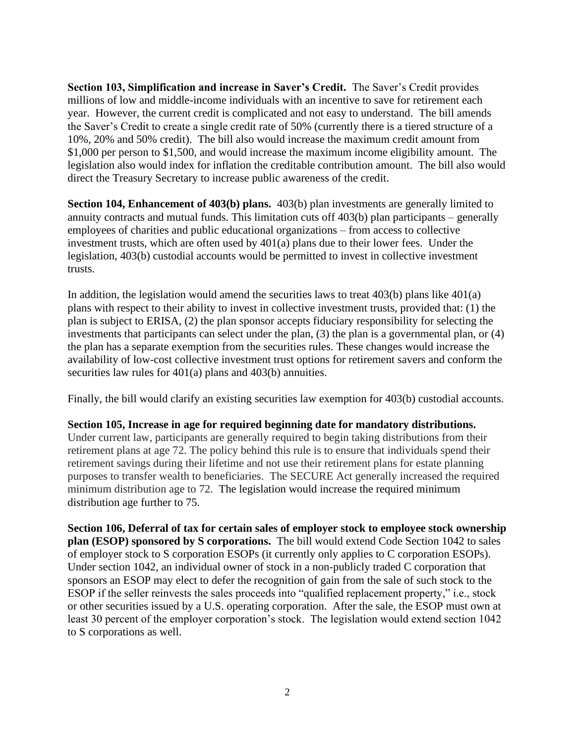**Section 103, Simplification and increase in Saver's Credit.** The Saver's Credit provides millions of low and middle-income individuals with an incentive to save for retirement each year. However, the current credit is complicated and not easy to understand. The bill amends the Saver's Credit to create a single credit rate of 50% (currently there is a tiered structure of a 10%, 20% and 50% credit). The bill also would increase the maximum credit amount from \$1,000 per person to \$1,500, and would increase the maximum income eligibility amount. The legislation also would index for inflation the creditable contribution amount. The bill also would direct the Treasury Secretary to increase public awareness of the credit.

**Section 104, Enhancement of 403(b) plans.** 403(b) plan investments are generally limited to annuity contracts and mutual funds. This limitation cuts off 403(b) plan participants – generally employees of charities and public educational organizations – from access to collective investment trusts, which are often used by 401(a) plans due to their lower fees. Under the legislation, 403(b) custodial accounts would be permitted to invest in collective investment trusts.

In addition, the legislation would amend the securities laws to treat  $403(b)$  plans like  $401(a)$ plans with respect to their ability to invest in collective investment trusts, provided that: (1) the plan is subject to ERISA, (2) the plan sponsor accepts fiduciary responsibility for selecting the investments that participants can select under the plan, (3) the plan is a governmental plan, or (4) the plan has a separate exemption from the securities rules. These changes would increase the availability of low-cost collective investment trust options for retirement savers and conform the securities law rules for 401(a) plans and 403(b) annuities.

Finally, the bill would clarify an existing securities law exemption for 403(b) custodial accounts.

### **Section 105, Increase in age for required beginning date for mandatory distributions.**

Under current law, participants are generally required to begin taking distributions from their retirement plans at age 72. The policy behind this rule is to ensure that individuals spend their retirement savings during their lifetime and not use their retirement plans for estate planning purposes to transfer wealth to beneficiaries. The SECURE Act generally increased the required minimum distribution age to 72. The legislation would increase the required minimum distribution age further to 75.

**Section 106, Deferral of tax for certain sales of employer stock to employee stock ownership plan (ESOP) sponsored by S corporations.**The bill would extend Code Section 1042 to sales of employer stock to S corporation ESOPs (it currently only applies to C corporation ESOPs). Under section 1042, an individual owner of stock in a non-publicly traded C corporation that sponsors an ESOP may elect to defer the recognition of gain from the sale of such stock to the ESOP if the seller reinvests the sales proceeds into "qualified replacement property," i.e., stock or other securities issued by a U.S. operating corporation. After the sale, the ESOP must own at least 30 percent of the employer corporation's stock. The legislation would extend section 1042 to S corporations as well.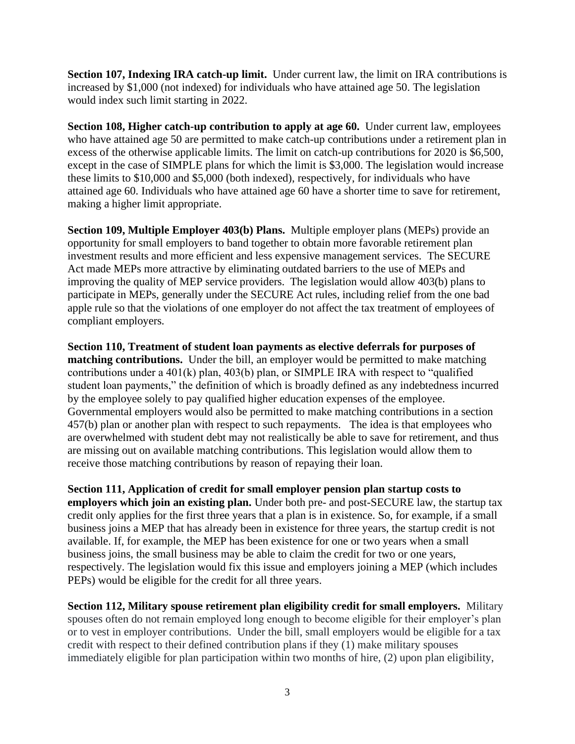**Section 107, Indexing IRA catch-up limit.** Under current law, the limit on IRA contributions is increased by \$1,000 (not indexed) for individuals who have attained age 50. The legislation would index such limit starting in 2022.

**Section 108, Higher catch-up contribution to apply at age 60.** Under current law, employees who have attained age 50 are permitted to make catch-up contributions under a retirement plan in excess of the otherwise applicable limits. The limit on catch-up contributions for 2020 is \$6,500, except in the case of SIMPLE plans for which the limit is \$3,000. The legislation would increase these limits to \$10,000 and \$5,000 (both indexed), respectively, for individuals who have attained age 60. Individuals who have attained age 60 have a shorter time to save for retirement, making a higher limit appropriate.

**Section 109, Multiple Employer 403(b) Plans.** Multiple employer plans (MEPs) provide an opportunity for small employers to band together to obtain more favorable retirement plan investment results and more efficient and less expensive management services. The SECURE Act made MEPs more attractive by eliminating outdated barriers to the use of MEPs and improving the quality of MEP service providers. The legislation would allow 403(b) plans to participate in MEPs, generally under the SECURE Act rules, including relief from the one bad apple rule so that the violations of one employer do not affect the tax treatment of employees of compliant employers.

**Section 110, Treatment of student loan payments as elective deferrals for purposes of matching contributions.** Under the bill, an employer would be permitted to make matching contributions under a 401(k) plan, 403(b) plan, or SIMPLE IRA with respect to "qualified student loan payments," the definition of which is broadly defined as any indebtedness incurred by the employee solely to pay qualified higher education expenses of the employee. Governmental employers would also be permitted to make matching contributions in a section 457(b) plan or another plan with respect to such repayments. The idea is that employees who are overwhelmed with student debt may not realistically be able to save for retirement, and thus are missing out on available matching contributions. This legislation would allow them to receive those matching contributions by reason of repaying their loan.

**Section 111, Application of credit for small employer pension plan startup costs to employers which join an existing plan.** Under both pre- and post-SECURE law, the startup tax credit only applies for the first three years that a plan is in existence. So, for example, if a small business joins a MEP that has already been in existence for three years, the startup credit is not available. If, for example, the MEP has been existence for one or two years when a small business joins, the small business may be able to claim the credit for two or one years, respectively. The legislation would fix this issue and employers joining a MEP (which includes PEPs) would be eligible for the credit for all three years.

**Section 112, Military spouse retirement plan eligibility credit for small employers.** Military spouses often do not remain employed long enough to become eligible for their employer's plan or to vest in employer contributions. Under the bill, small employers would be eligible for a tax credit with respect to their defined contribution plans if they (1) make military spouses immediately eligible for plan participation within two months of hire, (2) upon plan eligibility,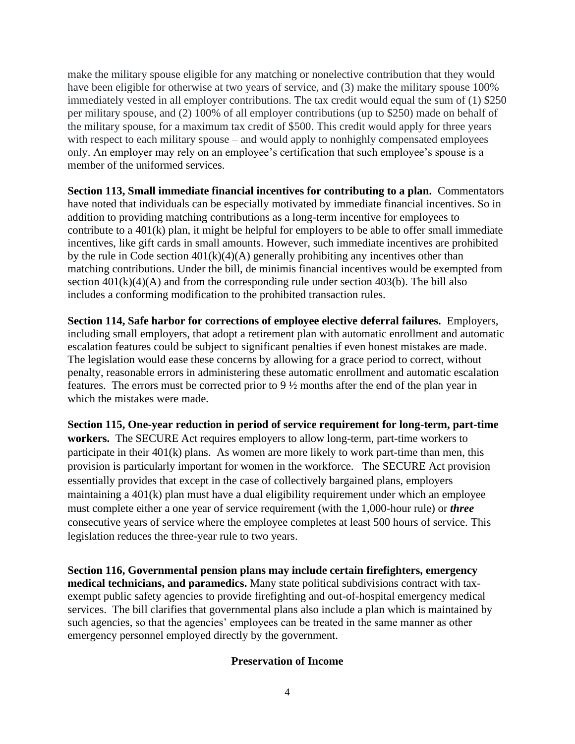make the military spouse eligible for any matching or nonelective contribution that they would have been eligible for otherwise at two years of service, and (3) make the military spouse 100% immediately vested in all employer contributions. The tax credit would equal the sum of (1) \$250 per military spouse, and (2) 100% of all employer contributions (up to \$250) made on behalf of the military spouse, for a maximum tax credit of \$500. This credit would apply for three years with respect to each military spouse – and would apply to nonhighly compensated employees only. An employer may rely on an employee's certification that such employee's spouse is a member of the uniformed services.

**Section 113, Small immediate financial incentives for contributing to a plan.** Commentators have noted that individuals can be especially motivated by immediate financial incentives. So in addition to providing matching contributions as a long-term incentive for employees to contribute to a 401(k) plan, it might be helpful for employers to be able to offer small immediate incentives, like gift cards in small amounts. However, such immediate incentives are prohibited by the rule in Code section  $401(k)(4)(A)$  generally prohibiting any incentives other than matching contributions. Under the bill, de minimis financial incentives would be exempted from section  $401(k)(4)(A)$  and from the corresponding rule under section  $403(b)$ . The bill also includes a conforming modification to the prohibited transaction rules.

**Section 114, Safe harbor for corrections of employee elective deferral failures.** Employers, including small employers, that adopt a retirement plan with automatic enrollment and automatic escalation features could be subject to significant penalties if even honest mistakes are made. The legislation would ease these concerns by allowing for a grace period to correct, without penalty, reasonable errors in administering these automatic enrollment and automatic escalation features. The errors must be corrected prior to 9 ½ months after the end of the plan year in which the mistakes were made.

**Section 115, One-year reduction in period of service requirement for long-term, part-time workers.** The SECURE Act requires employers to allow long-term, part-time workers to participate in their 401(k) plans. As women are more likely to work part-time than men, this provision is particularly important for women in the workforce. The SECURE Act provision essentially provides that except in the case of collectively bargained plans, employers maintaining a 401(k) plan must have a dual eligibility requirement under which an employee must complete either a one year of service requirement (with the 1,000-hour rule) or *three*  consecutive years of service where the employee completes at least 500 hours of service. This legislation reduces the three-year rule to two years.

**Section 116, Governmental pension plans may include certain firefighters, emergency medical technicians, and paramedics.** Many state political subdivisions contract with taxexempt public safety agencies to provide firefighting and out-of-hospital emergency medical services. The bill clarifies that governmental plans also include a plan which is maintained by such agencies, so that the agencies' employees can be treated in the same manner as other emergency personnel employed directly by the government.

## **Preservation of Income**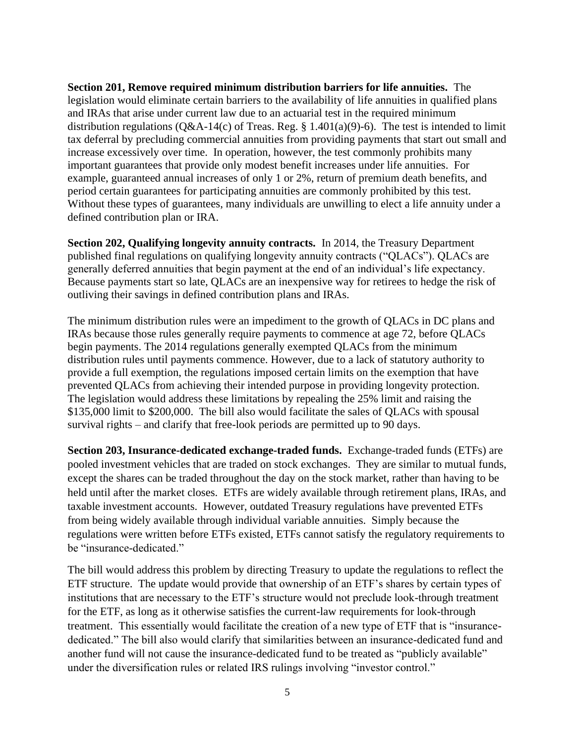**Section 201, Remove required minimum distribution barriers for life annuities.** The legislation would eliminate certain barriers to the availability of life annuities in qualified plans and IRAs that arise under current law due to an actuarial test in the required minimum distribution regulations ( $Q&A-14(c)$  of Treas. Reg. § 1.401(a)(9)-6). The test is intended to limit tax deferral by precluding commercial annuities from providing payments that start out small and increase excessively over time. In operation, however, the test commonly prohibits many important guarantees that provide only modest benefit increases under life annuities. For example, guaranteed annual increases of only 1 or 2%, return of premium death benefits, and period certain guarantees for participating annuities are commonly prohibited by this test. Without these types of guarantees, many individuals are unwilling to elect a life annuity under a defined contribution plan or IRA.

**Section 202, Qualifying longevity annuity contracts.** In 2014, the Treasury Department published final regulations on qualifying longevity annuity contracts ("QLACs"). QLACs are generally deferred annuities that begin payment at the end of an individual's life expectancy. Because payments start so late, QLACs are an inexpensive way for retirees to hedge the risk of outliving their savings in defined contribution plans and IRAs.

The minimum distribution rules were an impediment to the growth of QLACs in DC plans and IRAs because those rules generally require payments to commence at age 72, before QLACs begin payments. The 2014 regulations generally exempted QLACs from the minimum distribution rules until payments commence. However, due to a lack of statutory authority to provide a full exemption, the regulations imposed certain limits on the exemption that have prevented QLACs from achieving their intended purpose in providing longevity protection. The legislation would address these limitations by repealing the 25% limit and raising the \$135,000 limit to \$200,000. The bill also would facilitate the sales of QLACs with spousal survival rights – and clarify that free-look periods are permitted up to 90 days.

**Section 203, Insurance-dedicated exchange-traded funds.** Exchange-traded funds (ETFs) are pooled investment vehicles that are traded on stock exchanges. They are similar to mutual funds, except the shares can be traded throughout the day on the stock market, rather than having to be held until after the market closes. ETFs are widely available through retirement plans, IRAs, and taxable investment accounts. However, outdated Treasury regulations have prevented ETFs from being widely available through individual variable annuities. Simply because the regulations were written before ETFs existed, ETFs cannot satisfy the regulatory requirements to be "insurance-dedicated."

The bill would address this problem by directing Treasury to update the regulations to reflect the ETF structure. The update would provide that ownership of an ETF's shares by certain types of institutions that are necessary to the ETF's structure would not preclude look-through treatment for the ETF, as long as it otherwise satisfies the current-law requirements for look-through treatment. This essentially would facilitate the creation of a new type of ETF that is "insurancededicated." The bill also would clarify that similarities between an insurance-dedicated fund and another fund will not cause the insurance-dedicated fund to be treated as "publicly available" under the diversification rules or related IRS rulings involving "investor control."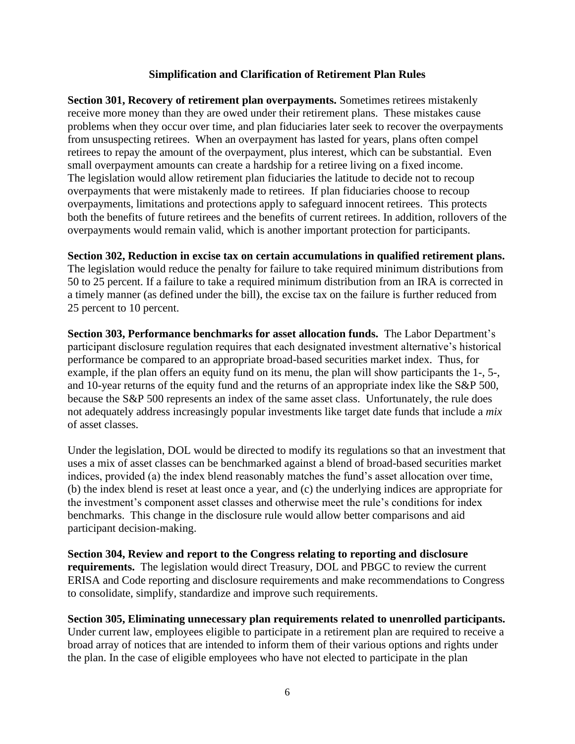### **Simplification and Clarification of Retirement Plan Rules**

**Section 301, Recovery of retirement plan overpayments.** Sometimes retirees mistakenly receive more money than they are owed under their retirement plans. These mistakes cause problems when they occur over time, and plan fiduciaries later seek to recover the overpayments from unsuspecting retirees. When an overpayment has lasted for years, plans often compel retirees to repay the amount of the overpayment, plus interest, which can be substantial. Even small overpayment amounts can create a hardship for a retiree living on a fixed income. The legislation would allow retirement plan fiduciaries the latitude to decide not to recoup overpayments that were mistakenly made to retirees. If plan fiduciaries choose to recoup overpayments, limitations and protections apply to safeguard innocent retirees. This protects both the benefits of future retirees and the benefits of current retirees. In addition, rollovers of the overpayments would remain valid, which is another important protection for participants.

**Section 302, Reduction in excise tax on certain accumulations in qualified retirement plans.**

The legislation would reduce the penalty for failure to take required minimum distributions from 50 to 25 percent. If a failure to take a required minimum distribution from an IRA is corrected in a timely manner (as defined under the bill), the excise tax on the failure is further reduced from 25 percent to 10 percent.

**Section 303, Performance benchmarks for asset allocation funds.** The Labor Department's participant disclosure regulation requires that each designated investment alternative's historical performance be compared to an appropriate broad-based securities market index. Thus, for example, if the plan offers an equity fund on its menu, the plan will show participants the 1-, 5-, and 10-year returns of the equity fund and the returns of an appropriate index like the S&P 500, because the S&P 500 represents an index of the same asset class. Unfortunately, the rule does not adequately address increasingly popular investments like target date funds that include a *mix* of asset classes.

Under the legislation, DOL would be directed to modify its regulations so that an investment that uses a mix of asset classes can be benchmarked against a blend of broad-based securities market indices, provided (a) the index blend reasonably matches the fund's asset allocation over time, (b) the index blend is reset at least once a year, and (c) the underlying indices are appropriate for the investment's component asset classes and otherwise meet the rule's conditions for index benchmarks. This change in the disclosure rule would allow better comparisons and aid participant decision-making.

**Section 304, Review and report to the Congress relating to reporting and disclosure requirements.** The legislation would direct Treasury, DOL and PBGC to review the current ERISA and Code reporting and disclosure requirements and make recommendations to Congress to consolidate, simplify, standardize and improve such requirements.

**Section 305, Eliminating unnecessary plan requirements related to unenrolled participants.** Under current law, employees eligible to participate in a retirement plan are required to receive a broad array of notices that are intended to inform them of their various options and rights under the plan. In the case of eligible employees who have not elected to participate in the plan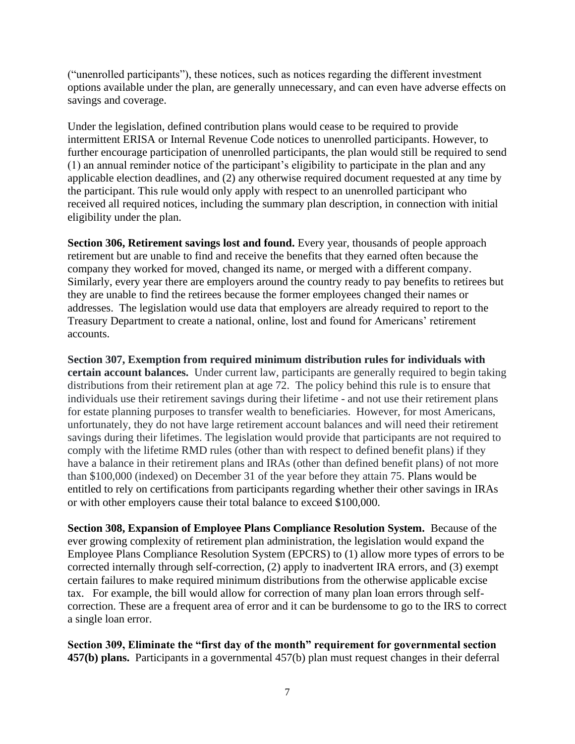("unenrolled participants"), these notices, such as notices regarding the different investment options available under the plan, are generally unnecessary, and can even have adverse effects on savings and coverage.

Under the legislation, defined contribution plans would cease to be required to provide intermittent ERISA or Internal Revenue Code notices to unenrolled participants. However, to further encourage participation of unenrolled participants, the plan would still be required to send (1) an annual reminder notice of the participant's eligibility to participate in the plan and any applicable election deadlines, and (2) any otherwise required document requested at any time by the participant. This rule would only apply with respect to an unenrolled participant who received all required notices, including the summary plan description, in connection with initial eligibility under the plan.

**Section 306, Retirement savings lost and found.** Every year, thousands of people approach retirement but are unable to find and receive the benefits that they earned often because the company they worked for moved, changed its name, or merged with a different company. Similarly, every year there are employers around the country ready to pay benefits to retirees but they are unable to find the retirees because the former employees changed their names or addresses. The legislation would use data that employers are already required to report to the Treasury Department to create a national, online, lost and found for Americans' retirement accounts.

**Section 307, Exemption from required minimum distribution rules for individuals with certain account balances.** Under current law, participants are generally required to begin taking distributions from their retirement plan at age 72. The policy behind this rule is to ensure that individuals use their retirement savings during their lifetime - and not use their retirement plans for estate planning purposes to transfer wealth to beneficiaries. However, for most Americans, unfortunately, they do not have large retirement account balances and will need their retirement savings during their lifetimes. The legislation would provide that participants are not required to comply with the lifetime RMD rules (other than with respect to defined benefit plans) if they have a balance in their retirement plans and IRAs (other than defined benefit plans) of not more than \$100,000 (indexed) on December 31 of the year before they attain 75. Plans would be entitled to rely on certifications from participants regarding whether their other savings in IRAs or with other employers cause their total balance to exceed \$100,000.

**Section 308, Expansion of Employee Plans Compliance Resolution System.** Because of the ever growing complexity of retirement plan administration, the legislation would expand the Employee Plans Compliance Resolution System (EPCRS) to (1) allow more types of errors to be corrected internally through self-correction, (2) apply to inadvertent IRA errors, and (3) exempt certain failures to make required minimum distributions from the otherwise applicable excise tax. For example, the bill would allow for correction of many plan loan errors through selfcorrection. These are a frequent area of error and it can be burdensome to go to the IRS to correct a single loan error.

**Section 309, Eliminate the "first day of the month" requirement for governmental section 457(b) plans.** Participants in a governmental 457(b) plan must request changes in their deferral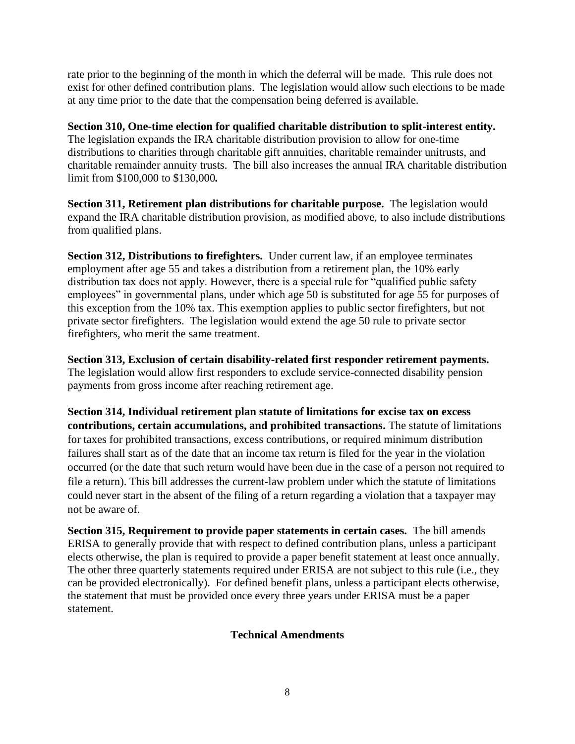rate prior to the beginning of the month in which the deferral will be made. This rule does not exist for other defined contribution plans. The legislation would allow such elections to be made at any time prior to the date that the compensation being deferred is available.

**Section 310, One-time election for qualified charitable distribution to split-interest entity.** The legislation expands the IRA charitable distribution provision to allow for one-time distributions to charities through charitable gift annuities, charitable remainder unitrusts, and charitable remainder annuity trusts. The bill also increases the annual IRA charitable distribution limit from \$100,000 to \$130,000*.* 

**Section 311, Retirement plan distributions for charitable purpose.** The legislation would expand the IRA charitable distribution provision, as modified above, to also include distributions from qualified plans.

**Section 312, Distributions to firefighters.** Under current law, if an employee terminates employment after age 55 and takes a distribution from a retirement plan, the 10% early distribution tax does not apply. However, there is a special rule for "qualified public safety employees" in governmental plans, under which age 50 is substituted for age 55 for purposes of this exception from the 10% tax. This exemption applies to public sector firefighters, but not private sector firefighters. The legislation would extend the age 50 rule to private sector firefighters, who merit the same treatment.

**Section 313, Exclusion of certain disability-related first responder retirement payments.** The legislation would allow first responders to exclude service-connected disability pension payments from gross income after reaching retirement age.

**Section 314, Individual retirement plan statute of limitations for excise tax on excess contributions, certain accumulations, and prohibited transactions.** The statute of limitations for taxes for prohibited transactions, excess contributions, or required minimum distribution failures shall start as of the date that an income tax return is filed for the year in the violation occurred (or the date that such return would have been due in the case of a person not required to file a return). This bill addresses the current-law problem under which the statute of limitations could never start in the absent of the filing of a return regarding a violation that a taxpayer may not be aware of.

**Section 315, Requirement to provide paper statements in certain cases.** The bill amends ERISA to generally provide that with respect to defined contribution plans, unless a participant elects otherwise, the plan is required to provide a paper benefit statement at least once annually. The other three quarterly statements required under ERISA are not subject to this rule (i.e., they can be provided electronically). For defined benefit plans, unless a participant elects otherwise, the statement that must be provided once every three years under ERISA must be a paper statement.

## **Technical Amendments**